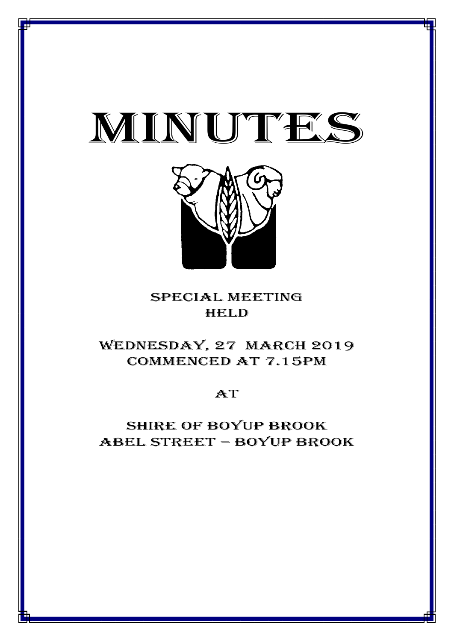



## special meeting **HELD**

# WEDNESDAY, 27 MARCH 2019 Commenced at 7.15PM

**AT** 

Shire of boyup brook ABEL STREET – BOYUP BROOK

1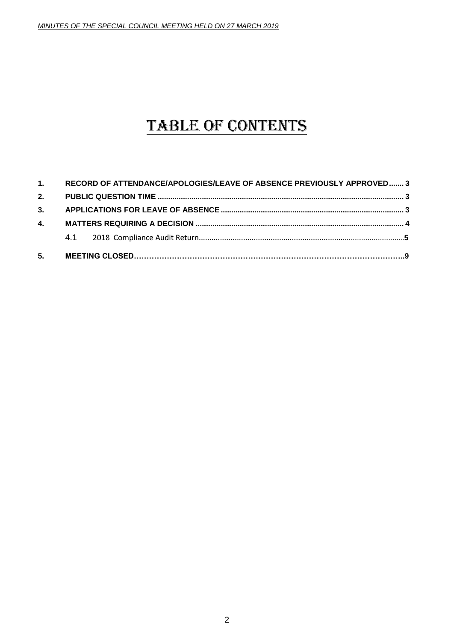# TABLE OF CONTENTS

| 5.           |                                                                       |  |  |
|--------------|-----------------------------------------------------------------------|--|--|
|              |                                                                       |  |  |
| $\mathbf{4}$ |                                                                       |  |  |
| 3.           |                                                                       |  |  |
| 2.           |                                                                       |  |  |
| 1.           | RECORD OF ATTENDANCE/APOLOGIES/LEAVE OF ABSENCE PREVIOUSLY APPROVED 3 |  |  |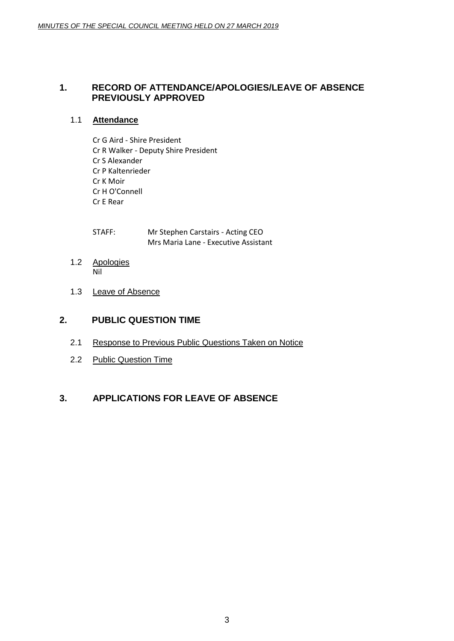#### <span id="page-2-0"></span>**1. RECORD OF ATTENDANCE/APOLOGIES/LEAVE OF ABSENCE PREVIOUSLY APPROVED**

#### 1.1 **Attendance**

Cr G Aird - Shire President Cr R Walker - Deputy Shire President Cr S Alexander Cr P Kaltenrieder Cr K Moir Cr H O'Connell Cr E Rear

STAFF: Mr Stephen Carstairs - Acting CEO Mrs Maria Lane - Executive Assistant

- 1.2 Apologies Nil
- 1.3 Leave of Absence

#### <span id="page-2-1"></span>**2. PUBLIC QUESTION TIME**

- 2.1 Response to Previous Public Questions Taken on Notice
- 2.2 Public Question Time

### <span id="page-2-2"></span>**3. APPLICATIONS FOR LEAVE OF ABSENCE**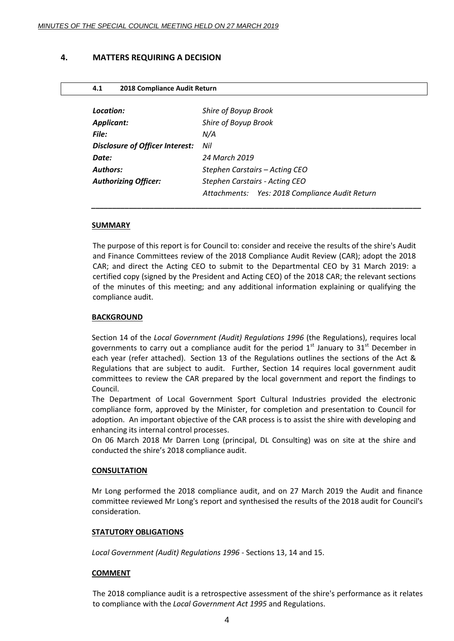#### <span id="page-3-0"></span>**4. MATTERS REQUIRING A DECISION**

| 2018 Compliance Audit Return<br>4.1    |                                                |  |
|----------------------------------------|------------------------------------------------|--|
|                                        |                                                |  |
| Location:                              | Shire of Boyup Brook                           |  |
| <b>Applicant:</b>                      | Shire of Boyup Brook                           |  |
| File:                                  | N/A                                            |  |
| <b>Disclosure of Officer Interest:</b> | Nil                                            |  |
| Date:                                  | 24 March 2019                                  |  |
| <b>Authors:</b>                        | Stephen Carstairs – Acting CEO                 |  |
| <b>Authorizing Officer:</b>            | Stephen Carstairs - Acting CEO                 |  |
|                                        | Attachments: Yes: 2018 Compliance Audit Return |  |
|                                        |                                                |  |

#### **SUMMARY**

The purpose of this report is for Council to: consider and receive the results of the shire's Audit and Finance Committees review of the 2018 Compliance Audit Review (CAR); adopt the 2018 CAR; and direct the Acting CEO to submit to the Departmental CEO by 31 March 2019: a certified copy (signed by the President and Acting CEO) of the 2018 CAR; the relevant sections of the minutes of this meeting; and any additional information explaining or qualifying the compliance audit.

*\_\_\_\_\_\_\_\_\_\_\_\_\_\_\_\_\_\_\_\_\_\_\_\_\_\_\_\_\_\_\_\_\_\_\_\_\_\_\_\_\_\_\_\_\_\_\_\_\_\_\_\_\_\_\_\_\_\_\_\_\_\_\_\_\_\_\_\_\_\_\_\_\_\_\_\_\_\_\_*

#### **BACKGROUND**

Section 14 of the *Local Government (Audit) Regulations 1996* (the Regulations), requires local governments to carry out a compliance audit for the period  $1<sup>st</sup>$  January to  $31<sup>st</sup>$  December in each year (refer attached). Section 13 of the Regulations outlines the sections of the Act & Regulations that are subject to audit. Further, Section 14 requires local government audit committees to review the CAR prepared by the local government and report the findings to Council.

The Department of Local Government Sport Cultural Industries provided the electronic compliance form, approved by the Minister, for completion and presentation to Council for adoption. An important objective of the CAR process is to assist the shire with developing and enhancing its internal control processes.

On 06 March 2018 Mr Darren Long (principal, DL Consulting) was on site at the shire and conducted the shire's 2018 compliance audit.

#### **CONSULTATION**

Mr Long performed the 2018 compliance audit, and on 27 March 2019 the Audit and finance committee reviewed Mr Long's report and synthesised the results of the 2018 audit for Council's consideration.

#### **STATUTORY OBLIGATIONS**

*Local Government (Audit) Regulations 1996* - Sections 13, 14 and 15.

#### **COMMENT**

The 2018 compliance audit is a retrospective assessment of the shire's performance as it relates to compliance with the *Local Government Act 1995* and Regulations.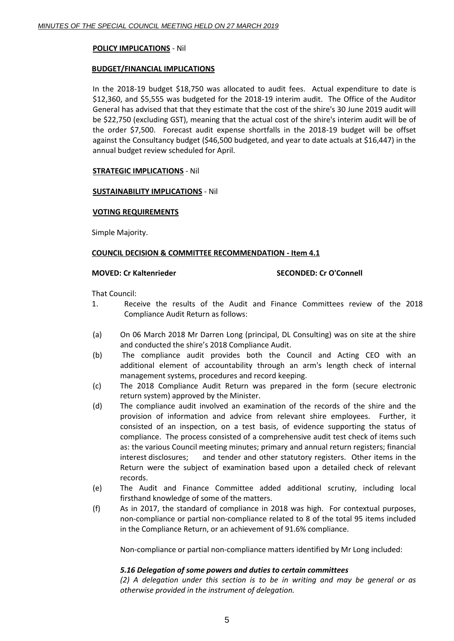#### **POLICY IMPLICATIONS** - Nil

#### **BUDGET/FINANCIAL IMPLICATIONS**

In the 2018-19 budget \$18,750 was allocated to audit fees. Actual expenditure to date is \$12,360, and \$5,555 was budgeted for the 2018-19 interim audit. The Office of the Auditor General has advised that that they estimate that the cost of the shire's 30 June 2019 audit will be \$22,750 (excluding GST), meaning that the actual cost of the shire's interim audit will be of the order \$7,500. Forecast audit expense shortfalls in the 2018-19 budget will be offset against the Consultancy budget (\$46,500 budgeted, and year to date actuals at \$16,447) in the annual budget review scheduled for April.

#### **STRATEGIC IMPLICATIONS** - Nil

#### **SUSTAINABILITY IMPLICATIONS** - Nil

#### **VOTING REQUIREMENTS**

Simple Majority.

#### **COUNCIL DECISION & COMMITTEE RECOMMENDATION - Item 4.1**

#### **MOVED: Cr Kaltenrieder SECONDED: Cr O'Connell**

That Council:

- 1. Receive the results of the Audit and Finance Committees review of the 2018 Compliance Audit Return as follows:
- (a) On 06 March 2018 Mr Darren Long (principal, DL Consulting) was on site at the shire and conducted the shire's 2018 Compliance Audit.
- (b) The compliance audit provides both the Council and Acting CEO with an additional element of accountability through an arm's length check of internal management systems, procedures and record keeping.
- (c) The 2018 Compliance Audit Return was prepared in the form (secure electronic return system) approved by the Minister.
- (d) The compliance audit involved an examination of the records of the shire and the provision of information and advice from relevant shire employees. Further, it consisted of an inspection, on a test basis, of evidence supporting the status of compliance. The process consisted of a comprehensive audit test check of items such as: the various Council meeting minutes; primary and annual return registers; financial interest disclosures; and tender and other statutory registers. Other items in the Return were the subject of examination based upon a detailed check of relevant records.
- (e) The Audit and Finance Committee added additional scrutiny, including local firsthand knowledge of some of the matters.
- (f) As in 2017, the standard of compliance in 2018 was high. For contextual purposes, non-compliance or partial non-compliance related to 8 of the total 95 items included in the Compliance Return, or an achievement of 91.6% compliance.

Non-compliance or partial non-compliance matters identified by Mr Long included:

#### *5.16 Delegation of some powers and duties to certain committees*

*(2) A delegation under this section is to be in writing and may be general or as otherwise provided in the instrument of delegation.*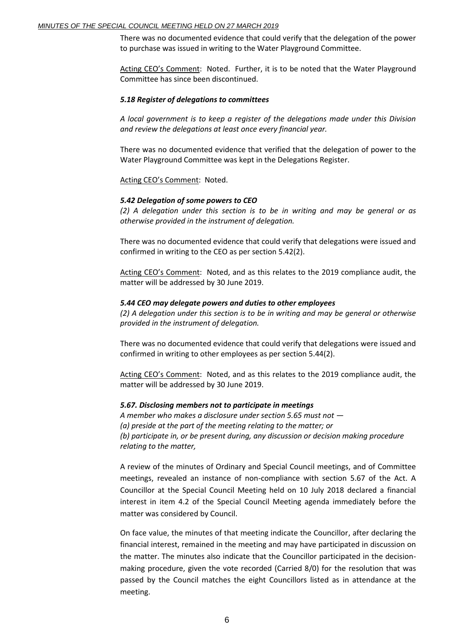There was no documented evidence that could verify that the delegation of the power to purchase was issued in writing to the Water Playground Committee.

Acting CEO's Comment: Noted. Further, it is to be noted that the Water Playground Committee has since been discontinued.

#### *5.18 Register of delegations to committees*

*A local government is to keep a register of the delegations made under this Division and review the delegations at least once every financial year.*

There was no documented evidence that verified that the delegation of power to the Water Playground Committee was kept in the Delegations Register.

Acting CEO's Comment: Noted.

#### *5.42 Delegation of some powers to CEO*

*(2) A delegation under this section is to be in writing and may be general or as otherwise provided in the instrument of delegation.*

There was no documented evidence that could verify that delegations were issued and confirmed in writing to the CEO as per section 5.42(2).

Acting CEO's Comment: Noted, and as this relates to the 2019 compliance audit, the matter will be addressed by 30 June 2019.

#### *5.44 CEO may delegate powers and duties to other employees*

*(2) A delegation under this section is to be in writing and may be general or otherwise provided in the instrument of delegation.*

There was no documented evidence that could verify that delegations were issued and confirmed in writing to other employees as per section 5.44(2).

Acting CEO's Comment: Noted, and as this relates to the 2019 compliance audit, the matter will be addressed by 30 June 2019.

#### *5.67. Disclosing members not to participate in meetings*

*A member who makes a disclosure under section 5.65 must not — (a) preside at the part of the meeting relating to the matter; or (b) participate in, or be present during, any discussion or decision making procedure relating to the matter,*

A review of the minutes of Ordinary and Special Council meetings, and of Committee meetings, revealed an instance of non-compliance with section 5.67 of the Act. A Councillor at the Special Council Meeting held on 10 July 2018 declared a financial interest in item 4.2 of the Special Council Meeting agenda immediately before the matter was considered by Council.

On face value, the minutes of that meeting indicate the Councillor, after declaring the financial interest, remained in the meeting and may have participated in discussion on the matter. The minutes also indicate that the Councillor participated in the decisionmaking procedure, given the vote recorded (Carried 8/0) for the resolution that was passed by the Council matches the eight Councillors listed as in attendance at the meeting.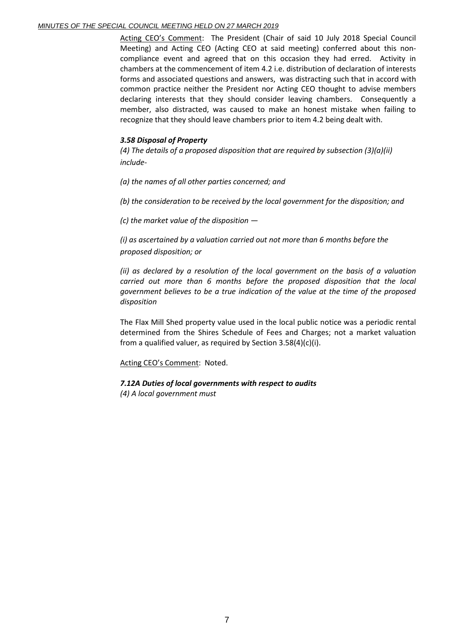Acting CEO's Comment: The President (Chair of said 10 July 2018 Special Council Meeting) and Acting CEO (Acting CEO at said meeting) conferred about this noncompliance event and agreed that on this occasion they had erred. Activity in chambers at the commencement of item 4.2 i.e. distribution of declaration of interests forms and associated questions and answers, was distracting such that in accord with common practice neither the President nor Acting CEO thought to advise members declaring interests that they should consider leaving chambers. Consequently a member, also distracted, was caused to make an honest mistake when failing to recognize that they should leave chambers prior to item 4.2 being dealt with.

#### *3.58 Disposal of Property*

*(4) The details of a proposed disposition that are required by subsection (3)(a)(ii) include-*

*(a) the names of all other parties concerned; and* 

*(b) the consideration to be received by the local government for the disposition; and* 

*(c) the market value of the disposition —*

*(i) as ascertained by a valuation carried out not more than 6 months before the proposed disposition; or*

*(ii) as declared by a resolution of the local government on the basis of a valuation carried out more than 6 months before the proposed disposition that the local government believes to be a true indication of the value at the time of the proposed disposition*

The Flax Mill Shed property value used in the local public notice was a periodic rental determined from the Shires Schedule of Fees and Charges; not a market valuation from a qualified valuer, as required by Section 3.58(4)(c)(i).

Acting CEO's Comment: Noted.

#### *7.12A Duties of local governments with respect to audits*

*(4) A local government must*